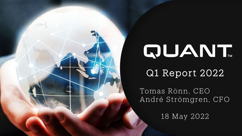

# QUANT.

Q1 Report 2022

Tomas Rönn, CEO André Strömgren, CFO

18 May 2022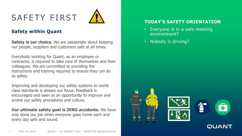# SAFETY FIRST



#### **Safety within Quant**

**Safety is our choice.** We are passionate about keeping our people, suppliers and customers safe at all times.

Everybody working for Quant, as an employee or contractor, is required to take care of themselves and their colleagues. We are committed to providing the instructions and training required to ensure they can do so safely.

Improving and developing our safety systems to world class standards is always our focus. Feedback is encouraged and seen as an opportunity to improve and evolve our safety procedures and culture.

**Our ultimate safety goal is ZERO accidents.** We have only done our job when everyone goes home each and every day safe and sound.

#### **TODAY'S SAFETY ORIENTATION**

- Everyone is in a safe meeting environment?
- Nobody is driving?

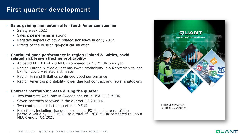## **First quarter development**

- **Sales gaining momentum after South American summer**
	- Safety week 2022
	- Sales pipeline remains strong
	- Negative impacts of covid related sick leave in early 2022
	- Effects of the Russian geopolitical situation
- **Continued good performance in region Finland & Baltics, covid related sick leave affecting profitability** 
	- Adjusted EBITDA of 2.5 MEUR compared to 2.6 MEUR prior year
	- Region Europe & Middle East has lower profitability in a Norwegian caused by high covid – related sick leave
	- Region Finland & Baltics continued good performance
	- Region Americas profitability lower due lost contract and fewer shutdowns
- **Contract portfolio increase during the quarter**
	- Two contracts won, one in Sweden and on in USA +2.8 MEUR
	- Seven contracts renewed in the quarter +2.2 MEUR
	- Two contracts lost in the quarter -4 MEUR
	- Net effect, including change in scope and FX, is an increase of the portfolio value by +4.0 MEUR to a total of 176.8 MEUR compared to 155.8 MEUR end of Q1'2021

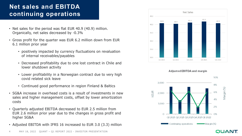## **Net sales and EBITDA continuing operations**

- Net sales for the period was flat EUR 40.9 (40.9) million. Organically, net sales decreased by -0.3%
- Gross profit for the quarter was EUR 6.2 million down from EUR 6.1 million prior year
	- positively impacted by currency fluctuations on revaluation of internal receivables/payables
	- Decreased profitability due to one lost contract in Chile and lower shutdown activity
	- Lower profitability in a Norwegian contract due to very high covid related sick leave
	- Continued good performance in region Finland & Baltics
- SG&A increase in overhead costs is a result of investments in new sales and higher management costs, offset by lower amortization costs
- Quarterly adjusted EBITDA decreased to EUR 2.5 million from EUR 2.6 million prior year due to the changes in gross profit and higher SG&A
- Adjusted EBITDA with IFRS 16 increased to EUR 3.0 (3.3) million





QUANT

#### Adjusted EBITDA and margin

4 MAY 18, 2022 QUANT – Q1 REPORT 2022 - INVESTOR PRESENTATION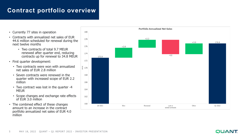## **Contract portfolio overview**

- Currently 77 sites in operation
- Contracts with annualized net sales of EUR 44.6 million scheduled for renewal during the next twelve months
	- Two contracts of total 9.7 MEUR renewed after quarter end, reducing contracts up for renewal to 34.8 MEUR
- First quarter development:
	- Two contracts were won with annualized net sales of EUR 2.8 million
	- Seven contracts were renewed in the quarter with increased scope of EUR 2.2 million
	- Two contract was lost in the quarter -4 **MEUR**
	- Scope changes and exchange rate effects of EUR 3.0 million
- The combined effect of these changes amount to an increase in the contract portfolio annualized net sales of EUR 4.0 million

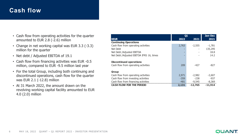### **Cash flow**

- Cash flow from operating activities for the quarter amounted to EUR 2.8 (-2.6) million
- Change in net working capital was EUR 3.3 (-3.3) million for the quarter
- Net debt / Adjusted EBITDA of 19.1
- Cash flow from financing activities was EUR -0.5 million, compared to EUR -9.5 million last year
- For the total Group, including both continuing and discontinued operations, cash flow for the quarter was EUR 2.1 (-12.8) million
- At 31 March 2022, the amount drawn on the revolving working capital facility amounted to EUR 4.0 (2.0) million

|                                           |        | Q1        |           |
|-------------------------------------------|--------|-----------|-----------|
| <b>KEUR</b>                               | 2022   | 2021      | 2021      |
| <b>Continuing Operations</b>              |        |           |           |
| Cash flow from operating activities       | 2,763  | $-2,555$  | $-1,781$  |
| Net Debt                                  |        |           | 135,295   |
| Net Debt / Adjusted EBITDA                |        |           | 18.8      |
| Net Debt / Adjusted EBITDA IFRS 16, times |        |           | 14.2      |
| <b>Discontinued operations</b>            |        |           |           |
| Cash flow from operating activities       | 209    | -427      | $-827$    |
| Group                                     |        |           |           |
| Cash flow from operating activities       | 2,971  | $-2,982$  | $-2,607$  |
| Cash flow from investing activities       | $-359$ | $-238$    | $-937$    |
| Cash flow from financing activities       | $-481$ | $-9,545$  | $-8,369$  |
| <b>CASH FLOW FOR THE PERIOD</b>           | 2,131  | $-12,765$ | $-11,914$ |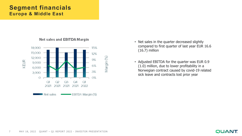#### **Segment financials Europe & Middle East**



#### Net sales and EBITDA Margin

- Net sales in the quarter decreased slightly compared to first quarter of last year EUR 16.6 (16.7) million
- Adjusted EBITDA for the quarter was EUR 0.9 (1.0) million, due to lower profitability in a Norwegian contract caused by covid-19 related sick leave and contracts lost prior year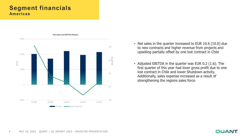#### **Segment financials Americas**



- Net sales in the quarter increased to EUR 10.6 (10.0) due to new contracts and higher revenue from projects and upselling partially offset by one lost contract in Chile
- Adjusted EBITDA in the quarter was EUR 0.2 (1.6). The first quarter of this year had lover gross profit due to one lost contract in Chile and lower Shutdown activity. Additionally, sales expense increased as a result of strengthening the regions sales force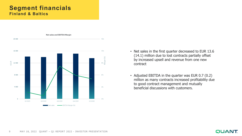#### **Segment financials Finland & Baltics**



- Net sales in the first quarter decreased to EUR 13.6 (14.1) million due to lost contracts partially offset by increased upsell and revenue from one new contract
- Adjusted EBITDA in the quarter was EUR 0.7 (0.2) million as many contracts increased profitability due to good contract management and mutually beneficial discussions with customers.